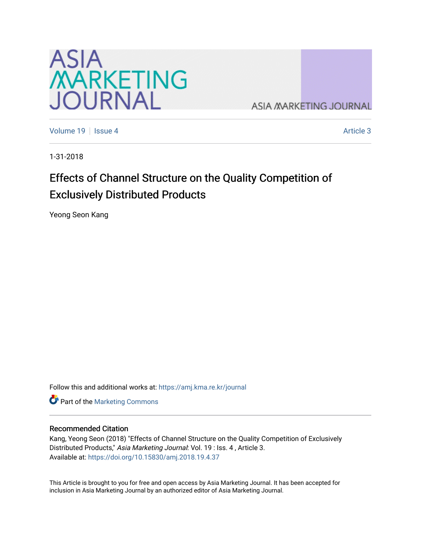

**ASIA MARKETING JOURNAL** 

[Volume 19](https://amj.kma.re.kr/journal/vol19) Setsue 4 [Article 3](https://amj.kma.re.kr/journal/vol19/iss4/3) Article 3 Article 3

1-31-2018

# Effects of Channel Structure on the Quality Competition of Exclusively Distributed Products

Yeong Seon Kang

Follow this and additional works at: [https://amj.kma.re.kr/journal](https://amj.kma.re.kr/journal?utm_source=amj.kma.re.kr%2Fjournal%2Fvol19%2Fiss4%2F3&utm_medium=PDF&utm_campaign=PDFCoverPages) 

Part of the [Marketing Commons](http://network.bepress.com/hgg/discipline/638?utm_source=amj.kma.re.kr%2Fjournal%2Fvol19%2Fiss4%2F3&utm_medium=PDF&utm_campaign=PDFCoverPages)

#### Recommended Citation

Kang, Yeong Seon (2018) "Effects of Channel Structure on the Quality Competition of Exclusively Distributed Products," Asia Marketing Journal: Vol. 19 : Iss. 4, Article 3. Available at:<https://doi.org/10.15830/amj.2018.19.4.37>

This Article is brought to you for free and open access by Asia Marketing Journal. It has been accepted for inclusion in Asia Marketing Journal by an authorized editor of Asia Marketing Journal.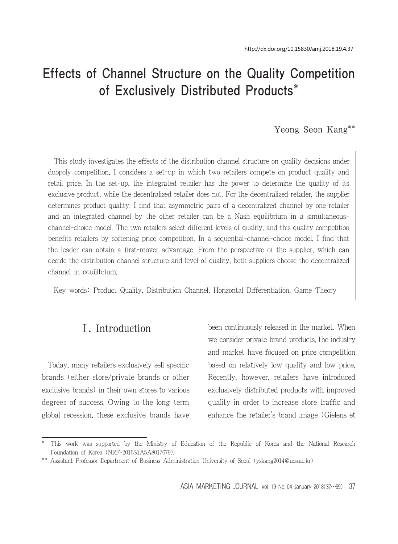# Effects of Channel Structure on the Quality Competition of Exclusively Distributed Products\*

#### Yeong Seon Kang\*\*

This study investigates the effects of the distribution channel structure on quality decisions under duopoly competition. I considers a set-up in which two retailers compete on product quality and retail price. In the set-up, the integrated retailer has the power to determine the quality of its exclusive product, while the decentralized retailer does not. For the decentralized retailer, the supplier determines product quality. I find that asymmetric pairs of a decentralized channel by one retailer and an integrated channel by the other retailer can be a Nash equilibrium in a simultaneouschannel-choice model. The two retailers select different levels of quality, and this quality competition benefits retailers by softening price competition. In a sequential-channel-choice model, I find that the leader can obtain a first-mover advantage. From the perspective of the supplier, which can decide the distribution channel structure and level of quality, both suppliers choose the decentralized channel in equilibrium.

Key words: Product Quality, Distribution Channel, Horizontal Differentiation, Game Theory

# Ⅰ. Introduction

Today, many retailers exclusively sell specific brands (either store/private brands or other exclusive brands) in their own stores to various degrees of success. Owing to the long-term global recession, these exclusive brands have been continuously released in the market. When we consider private brand products, the industry and market have focused on price competition based on relatively low quality and low price. Recently, however, retailers have introduced exclusively distributed products with improved quality in order to increase store traffic and enhance the retailer's brand image (Gielens et

<sup>\*</sup> This work was supported by the Ministry of Education of the Republic of Korea and the National Research Foundation of Korea (NRF-2016S1A5A8017679).

<sup>\*\*</sup> Assistant Professor Department of Business Administration University of Seoul (yskang2014@uos.ac.kr)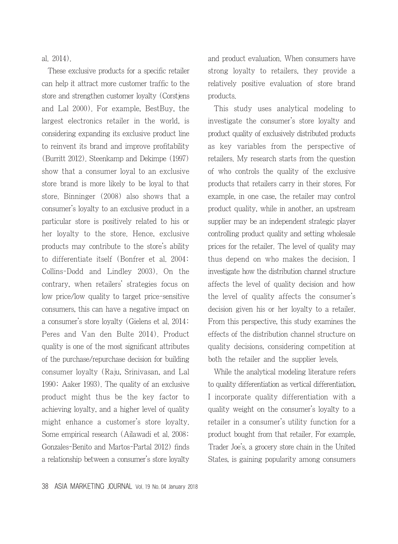al. 2014).

These exclusive products for a specific retailer can help it attract more customer traffic to the store and strengthen customer loyalty (Corstjens and Lal 2000). For example, BestBuy, the largest electronics retailer in the world, is considering expanding its exclusive product line to reinvent its brand and improve profitability (Burritt 2012). Steenkamp and Dekimpe (1997) show that a consumer loyal to an exclusive store brand is more likely to be loyal to that store. Binninger (2008) also shows that a consumer's loyalty to an exclusive product in a particular store is positively related to his or her loyalty to the store. Hence, exclusive products may contribute to the store's ability to differentiate itself (Bonfrer et al. 2004; Collins-Dodd and Lindley 2003). On the contrary, when retailers' strategies focus on low price/low quality to target price-sensitive consumers, this can have a negative impact on a consumer's store loyalty (Gielens et al. 2014; Peres and Van den Bulte 2014). Product quality is one of the most significant attributes of the purchase/repurchase decision for building consumer loyalty (Raju, Srinivasan, and Lal 1990; Aaker 1993). The quality of an exclusive product might thus be the key factor to achieving loyalty, and a higher level of quality might enhance a customer's store loyalty. Some empirical research (Ailawadi et al. 2008; Gonzales-Benito and Martos-Partal 2012) finds a relationship between a consumer's store loyalty and product evaluation. When consumers have strong loyalty to retailers, they provide a relatively positive evaluation of store brand products.

This study uses analytical modeling to investigate the consumer's store loyalty and product quality of exclusively distributed products as key variables from the perspective of retailers. My research starts from the question of who controls the quality of the exclusive products that retailers carry in their stores. For example, in one case, the retailer may control product quality, while in another, an upstream supplier may be an independent strategic player controlling product quality and setting wholesale prices for the retailer. The level of quality may thus depend on who makes the decision. I investigate how the distribution channel structure affects the level of quality decision and how the level of quality affects the consumer's decision given his or her loyalty to a retailer. From this perspective, this study examines the effects of the distribution channel structure on quality decisions, considering competition at both the retailer and the supplier levels.

While the analytical modeling literature refers to quality differentiation as vertical differentiation, I incorporate quality differentiation with a quality weight on the consumer's loyalty to a retailer in a consumer's utility function for a product bought from that retailer. For example, Trader Joe's, a grocery store chain in the United States, is gaining popularity among consumers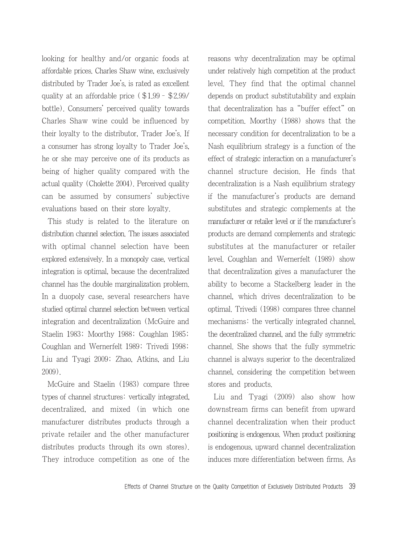looking for healthy and/or organic foods at affordable prices. Charles Shaw wine, exclusively distributed by Trader Joe's, is rated as excellent quality at an affordable price (\$1.99–\$2.99/ bottle). Consumers' perceived quality towards Charles Shaw wine could be influenced by their loyalty to the distributor, Trader Joe's. If a consumer has strong loyalty to Trader Joe's, he or she may perceive one of its products as being of higher quality compared with the actual quality (Cholette 2004). Perceived quality can be assumed by consumers' subjective evaluations based on their store loyalty.

This study is related to the literature on distribution channel selection. The issues associated with optimal channel selection have been explored extensively. In a monopoly case, vertical integration is optimal, because the decentralized channel has the double marginalization problem. In a duopoly case, several researchers have studied optimal channel selection between vertical integration and decentralization (McGuire and Staelin 1983; Moorthy 1988; Coughlan 1985; Coughlan and Wernerfelt 1989; Trivedi 1998; Liu and Tyagi 2009; Zhao, Atkins, and Liu 2009).

McGuire and Staelin (1983) compare three types of channel structures: vertically integrated, decentralized, and mixed (in which one manufacturer distributes products through a private retailer and the other manufacturer distributes products through its own stores). They introduce competition as one of the reasons why decentralization may be optimal under relatively high competition at the product level. They find that the optimal channel depends on product substitutability and explain that decentralization has a "buffer effect" on competition. Moorthy (1988) shows that the necessary condition for decentralization to be a Nash equilibrium strategy is a function of the effect of strategic interaction on a manufacturer's channel structure decision. He finds that decentralization is a Nash equilibrium strategy if the manufacturer's products are demand substitutes and strategic complements at the manufacturer or retailer level or if the manufacturer's products are demand complements and strategic substitutes at the manufacturer or retailer level. Coughlan and Wernerfelt (1989) show that decentralization gives a manufacturer the ability to become a Stackelberg leader in the channel, which drives decentralization to be optimal. Trivedi (1998) compares three channel mechanisms: the vertically integrated channel, the decentralized channel, and the fully symmetric channel. She shows that the fully symmetric channel is always superior to the decentralized channel, considering the competition between stores and products.

Liu and Tyagi (2009) also show how downstream firms can benefit from upward channel decentralization when their product positioning is endogenous. When product positioning is endogenous, upward channel decentralization induces more differentiation between firms. As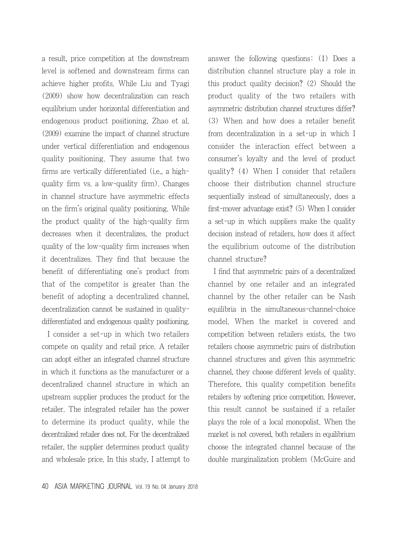a result, price competition at the downstream level is softened and downstream firms can achieve higher profits. While Liu and Tyagi (2009) show how decentralization can reach equilibrium under horizontal differentiation and endogenous product positioning, Zhao et al. (2009) examine the impact of channel structure under vertical differentiation and endogenous quality positioning. They assume that two firms are vertically differentiated (i.e., a highquality firm vs. a low-quality firm). Changes in channel structure have asymmetric effects on the firm's original quality positioning. While the product quality of the high-quality firm decreases when it decentralizes, the product quality of the low-quality firm increases when it decentralizes. They find that because the benefit of differentiating one's product from that of the competitor is greater than the benefit of adopting a decentralized channel, decentralization cannot be sustained in qualitydifferentiated and endogenous quality positioning.

I consider a set-up in which two retailers compete on quality and retail price. A retailer can adopt either an integrated channel structure in which it functions as the manufacturer or a decentralized channel structure in which an upstream supplier produces the product for the retailer. The integrated retailer has the power to determine its product quality, while the decentralized retailer does not. For the decentralized retailer, the supplier determines product quality and wholesale price. In this study, I attempt to answer the following questions: (1) Does a distribution channel structure play a role in this product quality decision? (2) Should the product quality of the two retailers with asymmetric distribution channel structures differ? (3) When and how does a retailer benefit from decentralization in a set-up in which I consider the interaction effect between a consumer's loyalty and the level of product quality? (4) When I consider that retailers choose their distribution channel structure sequentially instead of simultaneously, does a first-mover advantage exist? (5) When I consider a set-up in which suppliers make the quality decision instead of retailers, how does it affect the equilibrium outcome of the distribution channel structure?

I find that asymmetric pairs of a decentralized channel by one retailer and an integrated channel by the other retailer can be Nash equilibria in the simultaneous-channel-choice model. When the market is covered and competition between retailers exists, the two retailers choose asymmetric pairs of distribution channel structures and given this asymmetric channel, they choose different levels of quality. Therefore, this quality competition benefits retailers by softening price competition. However, this result cannot be sustained if a retailer plays the role of a local monopolist. When the market is not covered, both retailers in equilibrium choose the integrated channel because of the double marginalization problem (McGuire and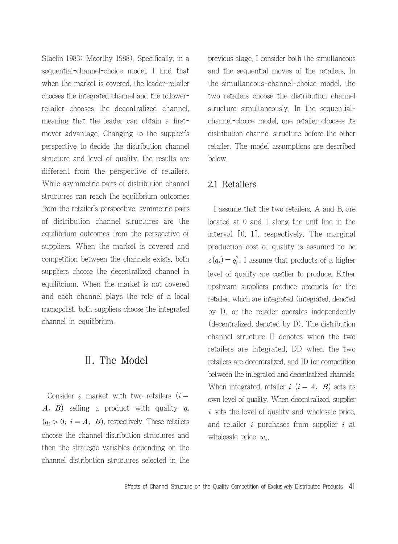Staelin 1983; Moorthy 1988). Specifically, in a sequential-channel-choice model, I find that when the market is covered, the leader-retailer chooses the integrated channel and the followerretailer chooses the decentralized channel, meaning that the leader can obtain a firstmover advantage. Changing to the supplier's perspective to decide the distribution channel structure and level of quality, the results are different from the perspective of retailers. While asymmetric pairs of distribution channel structures can reach the equilibrium outcomes from the retailer's perspective, symmetric pairs of distribution channel structures are the equilibrium outcomes from the perspective of suppliers. When the market is covered and competition between the channels exists, both suppliers choose the decentralized channel in equilibrium. When the market is not covered and each channel plays the role of a local monopolist, both suppliers choose the integrated channel in equilibrium.

#### Ⅱ. The Model

Consider a market with two retailers  $(i =$ A, B) selling a product with quality  $q_i$  $(q_i > 0; i = A, B)$ , respectively. These retailers choose the channel distribution structures and then the strategic variables depending on the channel distribution structures selected in the previous stage. I consider both the simultaneous and the sequential moves of the retailers. In the simultaneous-channel-choice model, the two retailers choose the distribution channel structure simultaneously. In the sequentialchannel-choice model, one retailer chooses its distribution channel structure before the other retailer. The model assumptions are described below.

#### 2.1 Retailers

I assume that the two retailers, A and B, are located at 0 and 1 along the unit line in the interval [0, 1], respectively. The marginal production cost of quality is assumed to be  $c(q_i) = q_i^2$ . I assume that products of a higher level of quality are costlier to produce. Either upstream suppliers produce products for the retailer, which are integrated (integrated, denoted by I), or the retailer operates independently (decentralized, denoted by D). The distribution channel structure II denotes when the two retailers are integrated, DD when the two retailers are decentralized, and ID for competition between the integrated and decentralized channels. When integrated, retailer  $i$   $(i = A, B)$  sets its own level of quality. When decentralized, supplier  $i$  sets the level of quality and wholesale price, and retailer  $i$  purchases from supplier  $i$  at wholesale price  $w_i$ .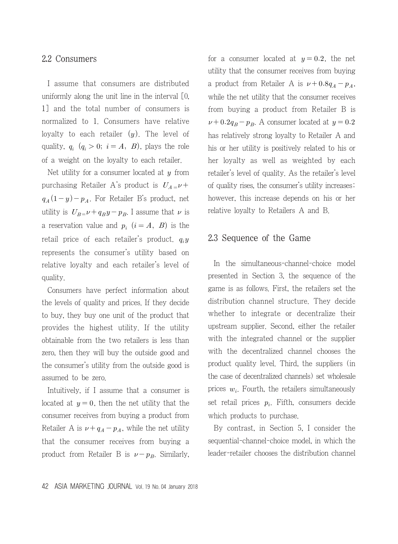#### 2.2 Consumers

I assume that consumers are distributed uniformly along the unit line in the interval [0, 1] and the total number of consumers is normalized to 1. Consumers have relative loyalty to each retailer  $(y)$ . The level of quality,  $q_i$   $(q_i > 0; i = A, B)$ , plays the role of a weight on the loyalty to each retailer.

Net utility for a consumer located at  $y$  from purchasing Retailer A's product is  $U_{A} = \nu +$  $q_A(1-y)-p_A$ . For Retailer B's product, net utility is  $U_{B} = \nu + q_B y - p_B$ . I assume that  $\nu$  is a reservation value and  $p_i$   $(i = A, B)$  is the retail price of each retailer's product.  $q_i y$ represents the consumer's utility based on relative loyalty and each retailer's level of quality.

Consumers have perfect information about the levels of quality and prices. If they decide to buy, they buy one unit of the product that provides the highest utility. If the utility obtainable from the two retailers is less than zero, then they will buy the outside good and the consumer's utility from the outside good is assumed to be zero.

Intuitively, if I assume that a consumer is located at  $y = 0$ , then the net utility that the consumer receives from buying a product from Retailer A is  $\nu + q_A - p_A$ , while the net utility that the consumer receives from buying a product from Retailer B is  $\nu - p_B$ . Similarly, for a consumer located at  $y = 0.2$ , the net utility that the consumer receives from buying a product from Retailer A is  $\nu + 0.8q_A - p_A$ , while the net utility that the consumer receives from buying a product from Retailer B is  $\nu + 0.2q_B - p_B$ . A consumer located at  $y = 0.2$ has relatively strong loyalty to Retailer A and his or her utility is positively related to his or her loyalty as well as weighted by each retailer's level of quality. As the retailer's level of quality rises, the consumer's utility increases; however, this increase depends on his or her relative loyalty to Retailers A and B.

#### 2.3 Sequence of the Game

In the simultaneous-channel-choice model presented in Section 3, the sequence of the game is as follows. First, the retailers set the distribution channel structure. They decide whether to integrate or decentralize their upstream supplier. Second, either the retailer with the integrated channel or the supplier with the decentralized channel chooses the product quality level. Third, the suppliers (in the case of decentralized channels) set wholesale prices  $w_i$ . Fourth, the retailers simultaneously set retail prices  $p_i$ . Fifth, consumers decide which products to purchase.

By contrast, in Section 5, I consider the sequential-channel-choice model, in which the leader-retailer chooses the distribution channel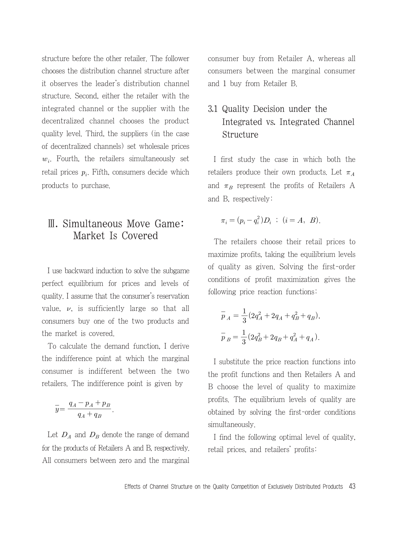structure before the other retailer. The follower chooses the distribution channel structure after it observes the leader's distribution channel structure. Second, either the retailer with the integrated channel or the supplier with the decentralized channel chooses the product quality level. Third, the suppliers (in the case of decentralized channels) set wholesale prices  $w_i$ . Fourth, the retailers simultaneously set retail prices  $p_i$ . Fifth, consumers decide which products to purchase.

# Ⅲ. Simultaneous Move Game: Market Is Covered

I use backward induction to solve the subgame perfect equilibrium for prices and levels of quality. I assume that the consumer's reservation value,  $\nu$ , is sufficiently large so that all consumers buy one of the two products and the market is covered.

To calculate the demand function, I derive the indifference point at which the marginal consumer is indifferent between the two retailers. The indifference point is given by relative the definition<br>indifference point<br>sumer is indifferentlers. The indifference<br> $\overline{y} = \frac{q_A - p_A + p_B}{q_A + q_B}$ 

$$
\overline{y} = \frac{q_A - p_A + p_B}{q_A + q_B}.
$$

Let  $D_A$  and  $D_B$  denote the range of demand for the products of Retailers A and B, respectively. All consumers between zero and the marginal consumer buy from Retailer A, whereas all consumers between the marginal consumer and 1 buy from Retailer B.

# 3.1 Quality Decision under the Integrated vs. Integrated Channel Structure

I first study the case in which both the retailers produce their own products. Let  $\pi_A$ and  $\pi_B$  represent the profits of Retailers A and B, respectively:

$$
\pi_i = (p_i - q_i^2)D_i \; ; \; (i = A, B).
$$

The retailers choose their retail prices to maximize profits, taking the equilibrium levels of quality as given. Solving the first-order conditions of profit maximization gives the following price reaction functions:

$$
\begin{aligned} \overline{p}_A&=\frac{1}{3}(2q_A^2+2q_A+q_B^2+q_B),\\ \overline{p}_B&=\frac{1}{3}(2q_B^2+2q_B+q_A^2+q_A). \end{aligned}
$$

I substitute the price reaction functions into the profit functions and then Retailers A and B choose the level of quality to maximize profits. The equilibrium levels of quality are obtained by solving the first-order conditions simultaneously.

I find the following optimal level of quality, retail prices, and retailers' profits: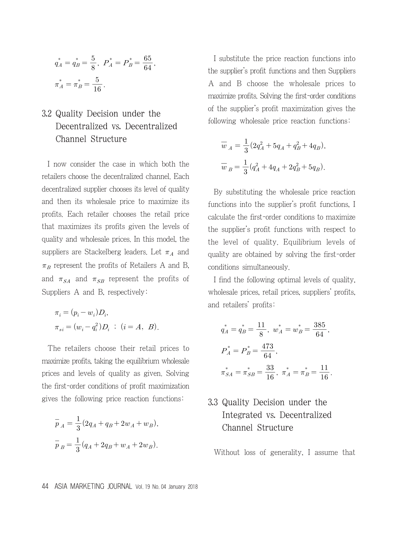$$
q_A^* = q_B^* = \frac{5}{8}, \ P_A^* = P_B^* = \frac{65}{64},
$$
  

$$
\pi_A^* = \pi_B^* = \frac{5}{16}.
$$

# 3.2 Quality Decision under the Decentralized vs. Decentralized Channel Structure

I now consider the case in which both the retailers choose the decentralized channel. Each decentralized supplier chooses its level of quality and then its wholesale price to maximize its profits. Each retailer chooses the retail price that maximizes its profits given the levels of quality and wholesale prices. In this model, the suppliers are Stackelberg leaders. Let  $\pi_A$  and  $\pi_B$  represent the profits of Retailers A and B, and  $\pi_{SA}$  and  $\pi_{SB}$  represent the profits of Suppliers A and B, respectively:

$$
\pi_i = (p_i - w_i) D_i,
$$
  

$$
\pi_{si} = (w_i - q_i^2) D_i \; ; \; (i = A, B).
$$

The retailers choose their retail prices to maximize profits, taking the equilibrium wholesale prices and levels of quality as given. Solving the first-order conditions of profit maximization gives the following price reaction functions:

$$
\overline{p}_A = \frac{1}{3} (2q_A + q_B + 2w_A + w_B),
$$
  

$$
\overline{p}_B = \frac{1}{3} (q_A + 2q_B + w_A + 2w_B).
$$

I substitute the price reaction functions into the supplier's profit functions and then Suppliers A and B choose the wholesale prices to maximize profits. Solving the first-order conditions of the supplier's profit maximization gives the following wholesale price reaction functions:

$$
\overline{w}_A = \frac{1}{3} (2q_A^2 + 5q_A + q_B^2 + 4q_B),
$$
  

$$
\overline{w}_B = \frac{1}{3} (q_A^2 + 4q_A + 2q_B^2 + 5q_B).
$$

By substituting the wholesale price reaction functions into the supplier's profit functions, I calculate the first-order conditions to maximize the supplier's profit functions with respect to the level of quality. Equilibrium levels of quality are obtained by solving the first-order conditions simultaneously.

I find the following optimal levels of quality, wholesale prices, retail prices, suppliers' profits, and retailers' profits:

$$
q_A^* = q_B^* = \frac{11}{8}, \quad w_A^* = w_B^* = \frac{385}{64},
$$
  

$$
P_A^* = P_B^* = \frac{473}{64},
$$
  

$$
\pi_{SA}^* = \pi_{SB}^* = \frac{33}{16}, \quad \pi_A^* = \pi_B^* = \frac{11}{16}.
$$

# 3.3 Quality Decision under the Integrated vs. Decentralized Channel Structure

Without loss of generality, I assume that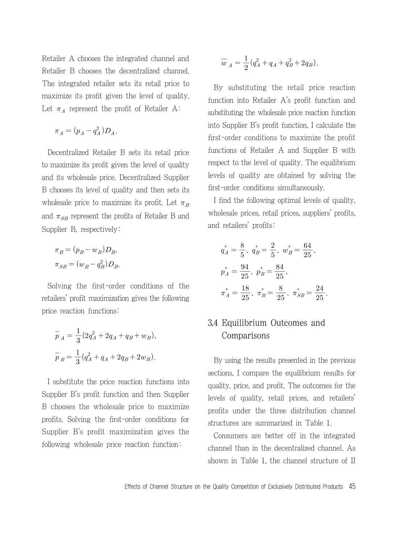Retailer A chooses the integrated channel and Retailer B chooses the decentralized channel. The integrated retailer sets its retail price to maximize its profit given the level of quality. Let  $\pi_A$  represent the profit of Retailer A:

$$
\pi_A = (p_A - q_A^2) D_A.
$$

Decentralized Retailer B sets its retail price to maximize its profit given the level of quality and its wholesale price. Decentralized Supplier B chooses its level of quality and then sets its wholesale price to maximize its profit. Let  $\pi_B$ and  $\pi_{SB}$  represent the profits of Retailer B and Supplier B, respectively:

$$
\pi_B = (p_B - w_B)D_B,
$$
  

$$
\pi_{SB} = (w_B - q_B^2)D_B.
$$

Solving the first-order conditions of the retailers' profit maximization gives the following price reaction functions:

$$
\begin{aligned} \overline{p}_A &= \frac{1}{3}(2q_A^2 + 2q_A + q_B + w_B), \\ \overline{p}_B &= \frac{1}{3}(q_A^2 + q_A + 2q_B + 2w_B). \end{aligned}
$$

I substitute the price reaction functions into Supplier B's profit function and then Supplier B chooses the wholesale price to maximize profits. Solving the first-order conditions for Supplier B's profit maximization gives the following wholesale price reaction function:

$$
\overline{w}_A = \frac{1}{2}(q_A^2 + q_A + q_B^2 + 2q_B).
$$

By substituting the retail price reaction function into Retailer A's profit function and substituting the wholesale price reaction function into Supplier B's profit function, I calculate the first-order conditions to maximize the profit functions of Retailer A and Supplier B with respect to the level of quality. The equilibrium levels of quality are obtained by solving the first-order conditions simultaneously.

I find the following optimal levels of quality, wholesale prices, retail prices, suppliers' profits, and retailers' profits:

$$
q_A^* = \frac{8}{5}, q_B^* = \frac{2}{5}, w_B^* = \frac{64}{25},
$$
  

$$
p_A^* = \frac{94}{25}, p_B^* = \frac{84}{25},
$$
  

$$
\pi_A^* = \frac{18}{25}, \pi_B^* = \frac{8}{25}, \pi_{SB}^* = \frac{24}{25}.
$$

### 3.4 Equilibrium Outcomes and Comparisons

By using the results presented in the previous sections, I compare the equilibrium results for quality, price, and profit. The outcomes for the levels of quality, retail prices, and retailers' profits under the three distribution channel structures are summarized in Table 1.

Consumers are better off in the integrated channel than in the decentralized channel. As shown in Table 1, the channel structure of II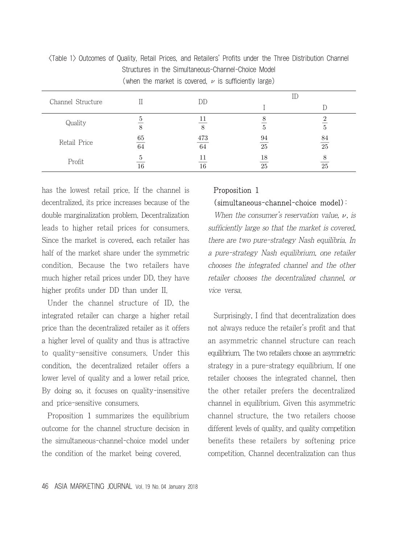| $\sqrt{w}$ is sufficient that the internal cover $w$ , $\nu$ is sufficiently faige, |                |    |    |                 |  |
|-------------------------------------------------------------------------------------|----------------|----|----|-----------------|--|
| Channel Structure                                                                   |                | DD |    |                 |  |
|                                                                                     |                |    |    |                 |  |
| Quality                                                                             |                | 11 |    |                 |  |
|                                                                                     | 8<br>473<br>65 |    | 5  |                 |  |
| Retail Price                                                                        |                |    | 94 | 84              |  |
|                                                                                     | 64             | 64 | 25 | $\overline{25}$ |  |
| Profit                                                                              |                | 11 | 18 |                 |  |
|                                                                                     | 16             | 16 | 25 | 25              |  |

<Table 1> Outcomes of Quality, Retail Prices, and Retailers' Profits under the Three Distribution Channel Structures in the Simultaneous-Channel-Choice Model  $(when the market is covered,  $\mu$  is sufficiently large)$ 

has the lowest retail price. If the channel is decentralized, its price increases because of the double marginalization problem. Decentralization leads to higher retail prices for consumers. Since the market is covered, each retailer has half of the market share under the symmetric condition. Because the two retailers have much higher retail prices under DD, they have higher profits under DD than under II.

Under the channel structure of ID, the integrated retailer can charge a higher retail price than the decentralized retailer as it offers a higher level of quality and thus is attractive to quality-sensitive consumers. Under this condition, the decentralized retailer offers a lower level of quality and a lower retail price. By doing so, it focuses on quality-insensitive and price-sensitive consumers.

Proposition 1 summarizes the equilibrium outcome for the channel structure decision in the simultaneous-channel-choice model under the condition of the market being covered.

#### Proposition 1 (simultaneous-channel-choice model):

When the consumer's reservation value,  $\nu$ , is sufficiently large so that the market is covered, there are two pure-strategy Nash equilibria. In a pure-strategy Nash equilibrium, one retailer chooses the integrated channel and the other retailer chooses the decentralized channel, or vice versa.

Surprisingly, I find that decentralization does not always reduce the retailer's profit and that an asymmetric channel structure can reach equilibrium. The two retailers choose an asymmetric strategy in a pure-strategy equilibrium. If one retailer chooses the integrated channel, then the other retailer prefers the decentralized channel in equilibrium. Given this asymmetric channel structure, the two retailers choose different levels of quality, and quality competition benefits these retailers by softening price competition. Channel decentralization can thus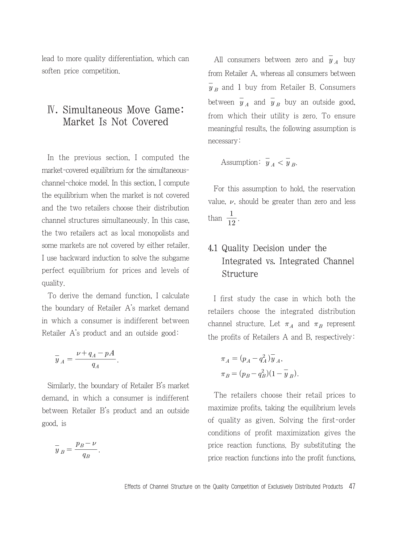lead to more quality differentiation, which can soften price competition.

## Ⅳ. Simultaneous Move Game: Market Is Not Covered

In the previous section, I computed the market-covered equilibrium for the simultaneouschannel-choice model. In this section, I compute the equilibrium when the market is not covered and the two retailers choose their distribution channel structures simultaneously. In this case, the two retailers act as local monopolists and some markets are not covered by either retailer. I use backward induction to solve the subgame perfect equilibrium for prices and levels of quality.

To derive the demand function, I calculate the boundary of Retailer A's market demand in which a consumer is indifferent between Retailer A's product and an outside good: bundary of Retail<br>ich a consumer<br>er A's product ar<br> $A = \frac{\nu + q_A - pA}{q_A}$ 

$$
\overline{y}_A = \frac{\nu + q_A - pA}{q_A}.
$$

Similarly, the boundary of Retailer B's market demand, in which a consumer is indifferent between Retailer B's product and an outside good, is

.

d, is  

$$
\overline{y}_B = \frac{p_B - \nu}{q_B}
$$

All consumers between zero and  $\overline{y}_A$  buy from Retailer A, whereas all consumers between  $\overline{y}_B$  and 1 buy from Retailer B. Consumers between  $\overline{y}_A$  and  $\overline{y}_B$  buy an outside good, from which their utility is zero. To ensure meaningful results, the following assumption is necessary:

Assumption:  $\overline{y}_A < \overline{y}_B$ .

For this assumption to hold, the reservation value,  $\nu$ , should be greater than zero and less than  $\frac{1}{12}$ .

# 4.1 Quality Decision under the Integrated vs. Integrated Channel Structure

I first study the case in which both the retailers choose the integrated distribution channel structure. Let  $\pi_A$  and  $\pi_B$  represent the profits of Retailers A and B, respectively:

$$
\pi_A = (p_A - q_A^2) \overline{y}_A,
$$
  

$$
\pi_B = (p_B - q_B^2)(1 - \overline{y}_B).
$$

The retailers choose their retail prices to maximize profits, taking the equilibrium levels of quality as given. Solving the first-order conditions of profit maximization gives the price reaction functions. By substituting the price reaction functions into the profit functions,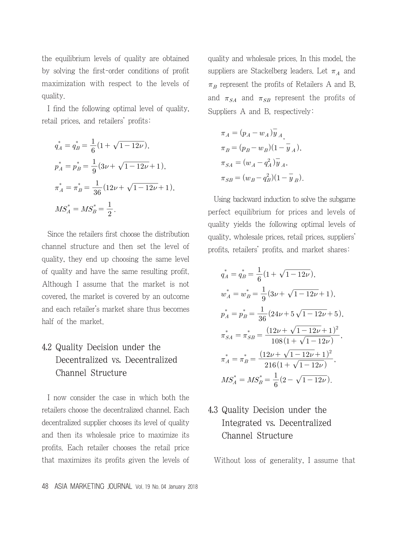the equilibrium levels of quality are obtained by solving the first-order conditions of profit maximization with respect to the levels of quality.

I find the following optimal level of quality, retail prices, and retailers' profits: owing optimal level<br>d retailers' profits:<br> $\frac{1}{6}(1+\sqrt{1-12\nu}),$ 

$$
q_A^* = q_B^* = \frac{1}{6} (1 + \sqrt{1 - 12\nu}),
$$
  
\n
$$
p_A^* = p_B^* = \frac{1}{9} (3\nu + \sqrt{1 - 12\nu} + 1),
$$
  
\n
$$
\pi_A^* = \pi_B^* = \frac{1}{36} (12\nu + \sqrt{1 - 12\nu} + 1),
$$
  
\n
$$
MS_A^* = MS_B^* = \frac{1}{2}.
$$

Since the retailers first choose the distribution channel structure and then set the level of quality, they end up choosing the same level of quality and have the same resulting profit. Although I assume that the market is not covered, the market is covered by an outcome and each retailer's market share thus becomes half of the market.

# 4.2 Quality Decision under the Decentralized vs. Decentralized Channel Structure

I now consider the case in which both the retailers choose the decentralized channel. Each decentralized supplier chooses its level of quality and then its wholesale price to maximize its profits. Each retailer chooses the retail price that maximizes its profits given the levels of quality and wholesale prices. In this model, the suppliers are Stackelberg leaders. Let  $\pi_A$  and  $\pi_B$  represent the profits of Retailers A and B, and  $\pi_{SA}$  and  $\pi_{SB}$  represent the profits of Suppliers A and B, respectively:

$$
\begin{aligned} \pi_A&=(p_A-w_A)\overline{y}_{\,A},\\ \pi_B&=(p_B-w_B)(1-\overline{y}_{\,A}),\\ \pi_{SA}&=(w_A-q_A^2)\overline{y}_{\,A},\\ \pi_{SB}&=(w_B-q_B^2)(1-\overline{y}_{\,B}). \end{aligned}
$$

Using backward induction to solve the subgame perfect equilibrium for prices and levels of quality yields the following optimal levels of quality, wholesale prices, retail prices, suppliers' profits, retailers' profits, and market shares: le prices, retail price<br>' profits, and marke<br> $\frac{1}{6}(1+\sqrt{1-12\nu}),$ 

uality yields the following optimal levels  
ality, wholesale prices, retail prices, supplied  
offs, retains a market shares  

$$
q_A^* = q_B^* = \frac{1}{6}(1 + \sqrt{1 - 12\nu}),
$$

$$
w_A^* = w_B^* = \frac{1}{9}(3\nu + \sqrt{1 - 12\nu} + 1),
$$

$$
p_A^* = p_B^* = \frac{1}{36}(24\nu + 5\sqrt{1 - 12\nu} + 5),
$$

$$
\pi_{SA}^* = \pi_{SB}^* = \frac{(12\nu + \sqrt{1 - 12\nu} + 1)^2}{108(1 + \sqrt{1 - 12\nu})},
$$

$$
\pi_A^* = \pi_B^* = \frac{(12\nu + \sqrt{1 - 12\nu} + 1)^2}{216(1 + \sqrt{1 - 12\nu})},
$$

$$
MS_A^* = MS_B^* = \frac{1}{6}(2 - \sqrt{1 - 12\nu}).
$$

# 4.3 Quality Decision under the Integrated vs. Decentralized Channel Structure

Without loss of generality, I assume that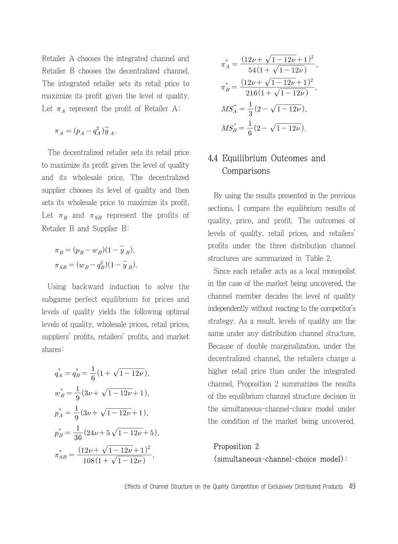Retailer A chooses the integrated channel and Retailer B chooses the decentralized channel. The integrated retailer sets its retail price to maximize its profit given the level of quality. Let  $\pi_A$  represent the profit of Retailer A:

$$
\pi_A = (p_A - q_A^2) \overline{y}_A.
$$

The decentralized retailer sets its retail price to maximize its profit given the level of quality and its wholesale price. The decentralized supplier chooses its level of quality and then sets its wholesale price to maximize its profit. Let  $\pi_B$  and  $\pi_{SB}$  represent the profits of Retailer B and Supplier B:

$$
\pi_B = (p_B - w_B)(1 - \overline{y}_B),
$$
  

$$
\pi_{SB} = (w_B - q_B^2)(1 - \overline{y}_B).
$$

Using backward induction to solve the subgame perfect equilibrium for prices and levels of quality yields the following optimal levels of quality, wholesale prices, retail prices, suppliers' profits, retailers' profits, and market<br>shares:<br> $q_A^* = q_B^* = \frac{1}{6}(1 + \sqrt{1 - 12\nu}),$ shares:

$$
q_A^* = q_B^* = \frac{1}{6} \left( 1 + \sqrt{1 - 12\nu} \right),
$$
  
\n
$$
w_B^* = \frac{1}{9} \left( 3\nu + \sqrt{1 - 12\nu} + 1 \right),
$$
  
\n
$$
p_A^* = \frac{1}{9} \left( 3\nu + \sqrt{1 - 12\nu} + 1 \right),
$$
  
\n
$$
p_B^* = \frac{1}{36} \left( 24\nu + 5\sqrt{1 - 12\nu} + 5 \right),
$$
  
\n
$$
\pi_{SB}^* = \frac{\left( 12\nu + \sqrt{1 - 12\nu} + 1 \right)^2}{108 \left( 1 + \sqrt{1 - 12\nu} \right)}.
$$
  
\nEffects of Chan

$$
\pi_A^* = \frac{(12\nu + \sqrt{1 - 12\nu} + 1)^2}{54(1 + \sqrt{1 - 12\nu})},
$$

$$
\pi_B^* = \frac{(12\nu + \sqrt{1 - 12\nu} + 1)^2}{216(1 + \sqrt{1 - 12\nu})},
$$

$$
MS_A^* = \frac{1}{3}(2 - \sqrt{1 - 12\nu}),
$$

$$
MS_B^* = \frac{1}{6}(2 - \sqrt{1 - 12\nu}).
$$

### 4.4 Equilibrium Outcomes and Comparisons

By using the results presented in the previous sections, I compare the equilibrium results of quality, price, and profit. The outcomes of levels of quality, retail prices, and retailers' profits under the three distribution channel structures are summarized in Table 2.

Since each retailer acts as a local monopolist in the case of the market being uncovered, the channel member decides the level of quality independently without reacting to the competitor's strategy. As a result, levels of quality are the same under any distribution channel structure. Because of double marginalization, under the decentralized channel, the retailers charge a higher retail price than under the integrated channel. Proposition 2 summarizes the results of the equilibrium channel structure decision in the simultaneous-channel-choice model under the condition of the market being uncovered.

### Proposition 2 (simultaneous-channel-choice model):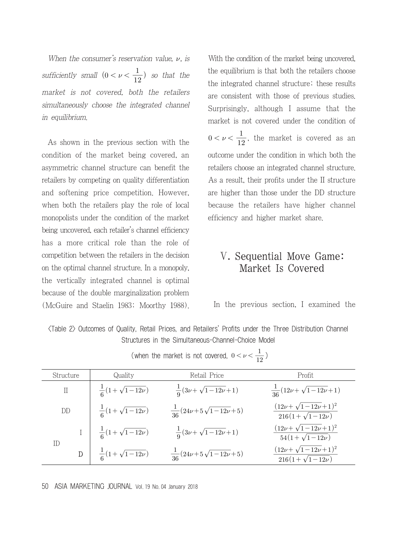When the consumer's reservation value,  $\nu$ , is sufficiently small  $(0 < \nu < \frac{1}{12})$  so that the market is not covered, both the retailers simultaneously choose the integrated channel in equilibrium.

As shown in the previous section with the condition of the market being covered, an asymmetric channel structure can benefit the retailers by competing on quality differentiation and softening price competition. However, when both the retailers play the role of local monopolists under the condition of the market being uncovered, each retailer's channel efficiency has a more critical role than the role of competition between the retailers in the decision on the optimal channel structure. In a monopoly, the vertically integrated channel is optimal because of the double marginalization problem (McGuire and Staelin 1983; Moorthy 1988). With the condition of the market being uncovered. the equilibrium is that both the retailers choose the integrated channel structure; these results are consistent with those of previous studies. Surprisingly, although I assume that the market is not covered under the condition of  $0 < \nu < \frac{1}{12}$ , the market is covered as an outcome under the condition in which both the retailers choose an integrated channel structure. As a result, their profits under the II structure are higher than those under the DD structure because the retailers have higher channel efficiency and higher market share.

# Ⅴ. Sequential Move Game: Market Is Covered

In the previous section, I examined the

| <table 2=""> Outcomes of Quality, Retail Prices, and Retailers' Profits under the Three Distribution Channel<br/>Structures in the Simultaneous-Channel-Choice Model<br/>(when the market is not covered, <math>0 &lt; \nu &lt; \frac{1}{12}</math>)</table> |                                 |                                         |                                                              |  |  |  |
|--------------------------------------------------------------------------------------------------------------------------------------------------------------------------------------------------------------------------------------------------------------|---------------------------------|-----------------------------------------|--------------------------------------------------------------|--|--|--|
| Structure<br>Quality                                                                                                                                                                                                                                         |                                 | Retail Price                            | Profit                                                       |  |  |  |
| $\mathcal{I}$                                                                                                                                                                                                                                                | $\frac{1}{6}(1+\sqrt{1-12\nu})$ | $\frac{1}{2}(3\nu+\sqrt{1-12\nu}+1)$    | $\frac{1}{36}(12\nu+\sqrt{1-12\nu}+1)$                       |  |  |  |
| DD                                                                                                                                                                                                                                                           | $\frac{1}{6}(1+\sqrt{1-12\nu})$ | $\frac{1}{36}(24\nu+5\sqrt{1-12\nu}+5)$ | $\frac{(12\nu + \sqrt{1-12\nu}+1)^2}{216(1+\sqrt{1-12\nu})}$ |  |  |  |
| ID                                                                                                                                                                                                                                                           | $\frac{1}{6}(1+\sqrt{1-12\nu})$ | $\frac{1}{2}(3\nu+\sqrt{1-12\nu}+1)$    | $\frac{(12\nu + \sqrt{1-12\nu}+1)^2}{54(1+\sqrt{1-12\nu})}$  |  |  |  |
| D                                                                                                                                                                                                                                                            | $\frac{1}{6}(1+\sqrt{1-12\nu})$ | $\frac{1}{26}(24\nu+5\sqrt{1-12\nu}+5)$ | $(12\nu + \sqrt{1-12\nu}+1)^2$<br>$216(1+\sqrt{1-12\nu})$    |  |  |  |
|                                                                                                                                                                                                                                                              |                                 |                                         |                                                              |  |  |  |

(when the market is not covered, 
$$
0 < \nu < \frac{1}{12}
$$
)

50 ASIA MARKETING JOURNAL Vol. 19 No. 04 January 2018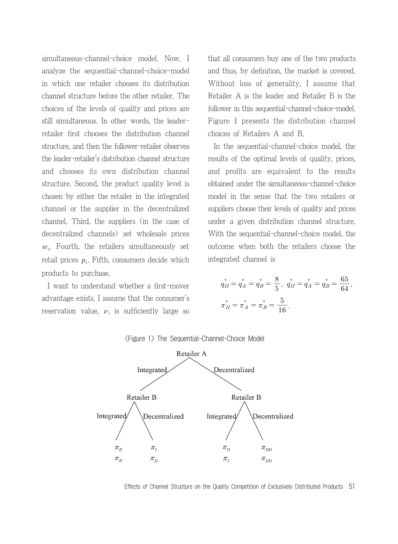simultaneous-channel-choice model. Now, I analyze the sequential-channel-choice-model in which one retailer chooses its distribution channel structure before the other retailer. The choices of the levels of quality and prices are still simultaneous. In other words, the leaderretailer first chooses the distribution channel structure, and then the follower-retailer observes the leader-retailer's distribution channel structure and chooses its own distribution channel structure. Second, the product quality level is chosen by either the retailer in the integrated channel or the supplier in the decentralized channel. Third, the suppliers (in the case of decentralized channels) set wholesale prices  $w_i$ . Fourth, the retailers simultaneously set retail prices  $p_i$ . Fifth, consumers decide which products to purchase.

I want to understand whether a first-mover advantage exists. I assume that the consumer's reservation value,  $\nu$ , is sufficiently large so that all consumers buy one of the two products and thus, by definition, the market is covered. Without loss of generality, I assume that Retailer A is the leader and Retailer B is the follower in this sequential-channel-choice-model. Figure 1 presents the distribution channel choices of Retailers A and B.

In the sequential-channel-choice model, the results of the optimal levels of quality, prices, and profits are equivalent to the results obtained under the simultaneous-channel-choice model in the sense that the two retailers or suppliers choose their levels of quality and prices under a given distribution channel structure. With the sequential-channel-choice model, the outcome when both the retailers choose the integrated channel is

$$
q_{II}^* = q_A^* = q_B^* = \frac{8}{5}, \quad q_{II}^* = q_A^* = q_B^* = \frac{65}{64},
$$
  

$$
\pi_{II}^* = \pi_A^* = \pi_B^* = \frac{5}{16}.
$$



<Figure 1> The Sequential-Channel-Choice Model

Effects of Channel Structure on the Quality Competition of Exclusively Distributed Products 51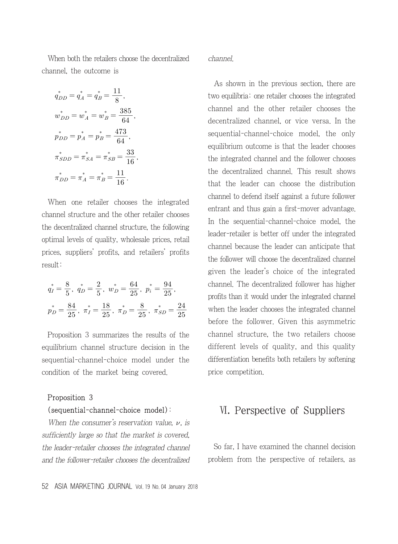When both the retailers choose the decentralized channel, the outcome is

$$
q_{DD}^* = q_A^* = q_B^* = \frac{11}{8},
$$
  
\n
$$
w_{DD}^* = w_A^* = w_B^* = \frac{385}{64},
$$
  
\n
$$
p_{DD}^* = p_A^* = p_B^* = \frac{473}{64},
$$
  
\n
$$
\pi_{SDD}^* = \pi_{SA}^* = \pi_{SB}^* = \frac{33}{16},
$$
  
\n
$$
\pi_{DD}^* = \pi_A^* = \pi_B^* = \frac{11}{16}.
$$

When one retailer chooses the integrated channel structure and the other retailer chooses the decentralized channel structure, the following optimal levels of quality, wholesale prices, retail prices, suppliers' profits, and retailers' profits result:

$$
q_I^* = \frac{8}{5}, \quad q_D^* = \frac{2}{5}, \quad w_D^* = \frac{64}{25}, \quad p_i^* = \frac{94}{25},
$$

$$
p_D^* = \frac{84}{25}, \quad \pi_I^* = \frac{18}{25}, \quad \pi_D^* = \frac{8}{25}, \quad \pi_{SD}^* = \frac{24}{25}
$$

Proposition 3 summarizes the results of the equilibrium channel structure decision in the sequential-channel-choice model under the condition of the market being covered.

#### Proposition 3

#### (sequential-channel-choice model):

When the consumer's reservation value,  $\nu$ , is sufficiently large so that the market is covered, the leader-retailer chooses the integrated channel and the follower-retailer chooses the decentralized

As shown in the previous section, there are two equilibria: one retailer chooses the integrated channel and the other retailer chooses the decentralized channel, or vice versa. In the sequential-channel-choice model, the only equilibrium outcome is that the leader chooses the integrated channel and the follower chooses the decentralized channel. This result shows that the leader can choose the distribution channel to defend itself against a future follower entrant and thus gain a first-mover advantage. In the sequential-channel-choice model, the leader-retailer is better off under the integrated channel because the leader can anticipate that the follower will choose the decentralized channel given the leader's choice of the integrated channel. The decentralized follower has higher profits than it would under the integrated channel when the leader chooses the integrated channel before the follower. Given this asymmetric channel structure, the two retailers choose different levels of quality, and this quality differentiation benefits both retailers by softening price competition.

# Ⅵ. Perspective of Suppliers

So far, I have examined the channel decision problem from the perspective of retailers, as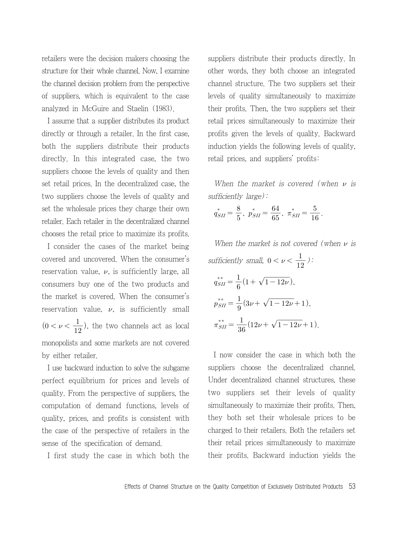retailers were the decision makers choosing the structure for their whole channel. Now, I examine the channel decision problem from the perspective of suppliers, which is equivalent to the case analyzed in McGuire and Staelin (1983).

I assume that a supplier distributes its product directly or through a retailer. In the first case, both the suppliers distribute their products directly. In this integrated case, the two suppliers choose the levels of quality and then set retail prices. In the decentralized case, the two suppliers choose the levels of quality and set the wholesale prices they charge their own retailer. Each retailer in the decentralized channel chooses the retail price to maximize its profits.

I consider the cases of the market being covered and uncovered. When the consumer's reservation value,  $\nu$ , is sufficiently large, all consumers buy one of the two products and the market is covered. When the consumer's reservation value,  $\nu$ , is sufficiently small  $(0 < \nu < \frac{1}{12})$ , the two channels act as local monopolists and some markets are not covered by either retailer.

I use backward induction to solve the subgame perfect equilibrium for prices and levels of quality. From the perspective of suppliers, the computation of demand functions, levels of quality, prices, and profits is consistent with the case of the perspective of retailers in the sense of the specification of demand.

I first study the case in which both the

suppliers distribute their products directly. In other words, they both choose an integrated channel structure. The two suppliers set their levels of quality simultaneously to maximize their profits. Then, the two suppliers set their retail prices simultaneously to maximize their profits given the levels of quality. Backward induction yields the following levels of quality, retail prices, and suppliers' profits:

When the market is covered (when  $\nu$  is sufficiently large):

$$
q_{SH}^* = \frac{8}{5}, \ p_{SH}^* = \frac{64}{65}, \ \pi_{SH}^* = \frac{5}{16}.
$$

When the market is not covered (when  $\nu$  is sufficiently small,  $0 < \nu < \frac{1}{12}$ ):  $q_{SII}^{**} = \frac{1}{6}$ the market is not condity small,  $0 < \nu < \frac{1}{1}$ <br> $\frac{1}{6}(1 + \sqrt{1 - 12\nu}),$  $q_{SH}^{**} = \frac{1}{6} (1 + \sqrt{1 - 12\nu}),$ <br>  $p_{SH}^{**} = \frac{1}{9} (3\nu + \sqrt{1 - 12\nu} + 1),$  $p_{SH}^{**} = \frac{1}{9} (3\nu + \sqrt{1 - 12\nu} + 1),$ <br>  $\pi_{SH}^{**} = \frac{1}{36} (12\nu + \sqrt{1 - 12\nu} + 1).$ 

I now consider the case in which both the suppliers choose the decentralized channel. Under decentralized channel structures, these two suppliers set their levels of quality simultaneously to maximize their profits. Then, they both set their wholesale prices to be charged to their retailers. Both the retailers set their retail prices simultaneously to maximize their profits. Backward induction yields the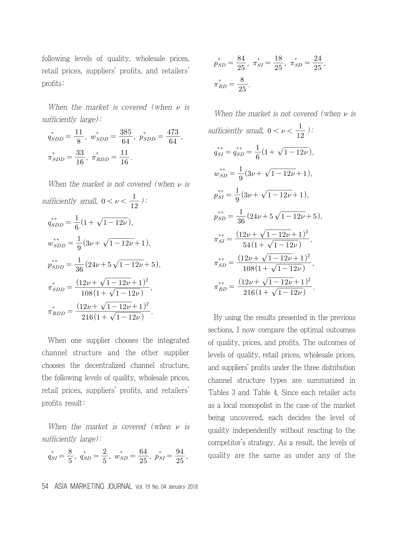following levels of quality, wholesale prices, retail prices, suppliers' profits, and retailers' profits:

When the market is covered (when  $\nu$  is sufficiently large):

$$
a_{SDD}^* = \frac{11}{8}, \ w_{SDD}^* = \frac{385}{64}, \ p_{SDD}^* = \frac{473}{64},
$$

$$
\pi_{SDD}^* = \frac{33}{16}, \ \pi_{RDD}^* = \frac{11}{16}.
$$

When the market is not covered (when  $\nu$  is sufficiently small,  $0 < \nu < \frac{1}{12}$ ):  $q_{SDD}^{**} = \frac{1}{6}$ be market is not cover<br>  $\frac{1}{12}$  small,  $0 < \nu < \frac{1}{12}$ <br>  $\frac{1}{6}(1 + \sqrt{1 - 12\nu}),$  $q_{SDD}^{**} = \frac{1}{6}(1 + \sqrt{1 - 12\nu}),$ <br>  $w_{SDD}^{**} = \frac{1}{9}(3\nu + \sqrt{1 - 12\nu} + 1),$  $w^{**}_{SDD} = \frac{1}{9}(3\nu + \sqrt{1-12\nu}+1),$ <br>  $w^{**}_{SDD} = \frac{1}{36}(24\nu + 5\sqrt{1-12\nu}+5),$  $\tilde{\pi_{SDD}}$ When the market is not covered<br>ficiently small,  $0 < \nu < \frac{1}{12}$ ):<br> $\frac{k*}{SDD} = \frac{1}{6} (1 + \sqrt{1 - 12\nu}),$ <br> $\frac{k*}{SDD} = \frac{1}{36} (24\nu + 5\sqrt{1 - 12\nu} + 1),$ <br> $\frac{k*}{SDD} = \frac{1}{36} (24\nu + 5\sqrt{1 - 12\nu} + 1)^2$ <br> $\frac{k}{SDD} = \frac{(12\nu + \sqrt{1 - 12\nu} + 1)^2}{1$  $\frac{1}{3}(24\nu+5\sqrt{1-12\nu}+1)$ <br> $\frac{12\nu+\sqrt{1-12\nu}+1}{108(1+\sqrt{1-12\nu})}$  $\frac{1}{9}(3\nu + \sqrt{1-12\nu+1})$ <br> $\frac{1}{36}(24\nu + 5\sqrt{1-12\nu+1})$  $\overline{c}$ ,  $\tilde{\pi_{RDD}}$ ficiently small,  $0 < \nu < \frac{1}{12}$ ):<br>  $\sinh \frac{1}{\sinh \nu} = \frac{1}{6} (1 + \sqrt{1 - 12\nu}),$ <br>  $\sinh \frac{1}{\sinh \nu} = \frac{1}{9} (3\nu + \sqrt{1 - 12\nu} + 1),$ <br>  $\sinh \nu = \frac{(12\nu + \sqrt{1 - 12\nu} + 1)^2}{108(1 + \sqrt{1 - 12\nu})}$ <br>  $\sinh \nu = \frac{(12\nu + \sqrt{1 - 12\nu} + 1)^2}{216(1 + \sqrt{1 - 12$  $\frac{2\nu + \sqrt{1 - 12\nu} + 1}{108(1 + \sqrt{1 - 12\nu})}$ <br> $\frac{2\nu + \sqrt{1 - 12\nu} + 1}{216(1 + \sqrt{1 - 12\nu})}$  $\frac{(12\nu + \sqrt{1-12\nu}+1)}{108(1+\sqrt{1-12\nu})}$ <br> $\frac{(12\nu + \sqrt{1-12\nu}+1)}{216(1+\sqrt{1-12\nu})}$  $\overline{2}$ .

When one supplier chooses the integrated channel structure and the other supplier chooses the decentralized channel structure, the following levels of quality, wholesale prices, retail prices, suppliers' profits, and retailers' profits result:

When the market is covered (when  $\nu$  is sufficiently large):

$$
q_{SI}^* = \frac{8}{5}, \ q_{SD}^* = \frac{2}{5}, \ w_{SD}^* = \frac{64}{25}, \ p_{SI}^* = \frac{94}{25},
$$

$$
p_{SD}^{*} = \frac{84}{25}, \ \pi_{SI}^{*} = \frac{18}{25}, \ \pi_{SD}^{*} = \frac{24}{25},
$$

$$
\pi_{RD}^{*} = \frac{8}{25}.
$$

When the market is not covered (when  $\nu$  is sufficiently small,  $0 < \nu < \frac{1}{12}$ ):  $q_{SI}^{**} = q_{SD}^{**} = \frac{1}{6}$ arket is not covered<br>all,  $0 < \nu < \frac{1}{12}$ ):<br> $\frac{1}{6}(1 + \sqrt{1 - 12\nu}),$  $w_{SD}^{**} = \frac{1}{9}$  $x_{12}^* = \frac{1}{6}(1 + \sqrt{1 - 12\nu}),$ <br>  $\frac{1}{9}(3\nu + \sqrt{1 - 12\nu} + 1),$  $p_{SI}^{**} = \frac{1}{9}$  $rac{1}{9}(3\nu + \sqrt{1-12\nu}+1),$ <br> $rac{1}{9}(3\nu + \sqrt{1-12\nu}+1),$  $p_{SI}^{**} = \frac{1}{9} (3\nu + \sqrt{1 - 12\nu} + 1),$ <br>  $p_{SD}^{**} = \frac{1}{36} (24\nu + 5\sqrt{1 - 12\nu} + 5),$  $\pi_{SI}^{**}$ ficiently small,  $0 < \nu < \frac{1}{12}$ )<br>  $\frac{1}{5i} = q_{SD}^{**} = \frac{1}{6} \left( 1 + \sqrt{1 - 12\nu} \right)$ <br>  $\frac{1}{5i} = \frac{1}{9} \left( 3\nu + \sqrt{1 - 12\nu} + 1 \right)$ <br>  $\frac{1}{5i} = \frac{1}{36} \left( 24\nu + 5\sqrt{1 - 12\nu} + 1 \right)$ ,<br>  $\frac{1}{5i} = \frac{1}{36} \left( 24\nu + 5\sqrt{1 - 12\nu} + 1$  $\frac{1}{3}(24\nu+5\sqrt{1-12\nu+1})$ <br>  $\frac{2\nu+\sqrt{1-12\nu+1}}{54(1+\sqrt{1-12\nu})}$  $\frac{1}{36}(3\nu + \sqrt{1-12\nu+1})$ <br> $\frac{1}{36}(24\nu + 5\sqrt{1-12\nu+1})$  $\overline{2}$ ,  $\pi_{SD}^{**}$  $\begin{aligned} \n\zeta_{SI}^{**} &= q_{SD}^{**} = \frac{1}{6} \left( 1 + \sqrt{1 - 12\nu} \right) \\ \n\zeta_{SD}^{**} &= \frac{1}{9} \left( 3\nu + \sqrt{1 - 12\nu} + 1 \right) \\ \n\zeta_{SI}^{**} &= \frac{1}{36} \left( 24\nu + 5\sqrt{1 - 12\nu} + 1 \right) \\ \n\zeta_{SI}^{**} &= \frac{(12\nu + \sqrt{1 - 12\nu} + 1)^2}{54 \left( 1 + \sqrt{1 - 12\nu} + 1 \right$  $\begin{array}{l} 2\nu + \sqrt{1-12\nu}+1) \\ 54(1+\sqrt{1-12\nu}) \\ 2\nu + \sqrt{1-12\nu}+1 \\ 108(1+\sqrt{1-12\nu}) \\ \hline \end{array}$  $\frac{(12\nu + \sqrt{1-12\nu}+1)^2}{54(1+\sqrt{1-12\nu})}$ <br> $\frac{(12\nu + \sqrt{1-12\nu}+1)}{108(1+\sqrt{1-12\nu})}$  $\overline{c}$ ,  $\pi_{RD}^{***}$  $y_{SD} = \frac{1}{9}(3\nu + \sqrt{1-12\nu+1}),$ <br>  $\begin{aligned}\n\frac{1}{sI} &= \frac{1}{9}(3\nu + \sqrt{1-12\nu+1}), \\
\frac{1}{sI} &= \frac{1}{36}(24\nu + 5\sqrt{1-12\nu+1})^2, \\
\frac{1}{sI} &= \frac{(12\nu + \sqrt{1-12\nu+1})^2}{54(1+\sqrt{1-12\nu})}, \\
\frac{1}{sI} &= \frac{(12\nu + \sqrt{1-12\nu+1})^2}{108(1+\sqrt{1-12\nu})^2}, \\
\frac{1}{rI} &= \$  $\frac{2\nu + \sqrt{1 - 12\nu} + 1}{108(1 + \sqrt{1 - 12\nu})}$ <br> $\frac{2\nu + \sqrt{1 - 12\nu} + 1}{216(1 + \sqrt{1 - 12\nu})}$  $\frac{54(1+\sqrt{1-12\nu})}{108(1+\sqrt{1-12\nu}+1)}$ <br> $\frac{(12\nu+\sqrt{1-12\nu}+1)}{(12\nu+\sqrt{1-12\nu}+1)}$  $\overline{c}$ .

By using the results presented in the previous sections, I now compare the optimal outcomes of quality, prices, and profits. The outcomes of levels of quality, retail prices, wholesale prices, and suppliers' profits under the three distribution channel structure types are summarized in Tables 3 and Table 4. Since each retailer acts as a local monopolist in the case of the market being uncovered, each decides the level of quality independently without reacting to the competitor's strategy. As a result, the levels of quality are the same as under any of the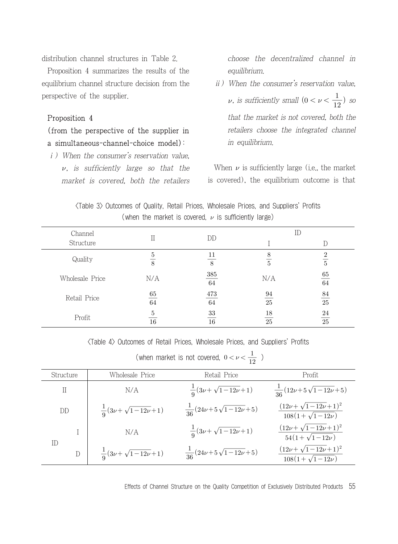distribution channel structures in Table 2.

Proposition 4 summarizes the results of the equilibrium channel structure decision from the perspective of the supplier.

#### Proposition 4

#### (from the perspective of the supplier in a simultaneous-channel-choice model):

ⅰ) When the consumer's reservation value,  $\nu$ , is sufficiently large so that the market is covered, both the retailers choose the decentralized channel in equilibrium.

ⅱ) When the consumer's reservation value,  $\nu$ , is sufficiently small  $(0 < \nu < \frac{1}{12})$  so that the market is not covered, both the retailers choose the integrated channel in equilibrium.

When  $\nu$  is sufficiently large (i.e., the market is covered), the equilibrium outcome is that

|                                                           |  |  | $\langle$ Table 3> Outcomes of Quality, Retail Prices, Wholesale Prices, and Suppliers' Profits |  |  |  |  |  |
|-----------------------------------------------------------|--|--|-------------------------------------------------------------------------------------------------|--|--|--|--|--|
| (when the market is covered, $\nu$ is sufficiently large) |  |  |                                                                                                 |  |  |  |  |  |

| Channel<br>Structure |                     | DD            |                     | ID                               |
|----------------------|---------------------|---------------|---------------------|----------------------------------|
| Quality              | 5<br>$\overline{8}$ | 11<br>8       | 8<br>$\overline{5}$ | $\mathfrak{D}$<br>$\overline{5}$ |
| Wholesale Price      | N/A                 | $385\,$<br>64 | N/A                 | 65<br>$64\,$                     |
| Retail Price         | 65<br>$64\,$        | 473<br>64     | 94<br>25            | $\frac{84}{25}$                  |
| Profit               | 5<br>16             | 33<br>16      | 18<br>25            | $\frac{24}{25}$                  |

| Profit                                                                                                                                                     |               | 16                                   | $\mathfrak{d}\mathfrak{d}$<br>16        | 18<br>24<br>$\overline{25}$<br>25                         |  |
|------------------------------------------------------------------------------------------------------------------------------------------------------------|---------------|--------------------------------------|-----------------------------------------|-----------------------------------------------------------|--|
| $\langle$ Table 4 $\rangle$ Outcomes of Retail Prices, Wholesale Prices, and Suppliers' Profits<br>(when market is not covered, $0 < \nu < \frac{1}{12}$ ) |               |                                      |                                         |                                                           |  |
| Structure                                                                                                                                                  |               | Wholesale Price                      | Retail Price                            | Profit                                                    |  |
| $\mathcal{I}$                                                                                                                                              |               | N/A                                  | $\frac{1}{2}(3\nu+\sqrt{1-12\nu}+1)$    | $\frac{1}{36}(12\nu+5\sqrt{1-12\nu}+5)$                   |  |
| DD                                                                                                                                                         |               | $\frac{1}{2}(3\nu+\sqrt{1-12\nu}+1)$ | $\frac{1}{36}(24\nu+5\sqrt{1-12\nu}+5)$ | $(12\nu + \sqrt{1-12\nu}+1)^2$<br>$108(1+\sqrt{1-12\nu})$ |  |
| ID                                                                                                                                                         |               | N/A                                  | $\frac{1}{9}(3\nu+\sqrt{1-12\nu}+1)$    | $(12\nu + \sqrt{1-12\nu}+1)^2$<br>$54(1+\sqrt{1-12\nu})$  |  |
|                                                                                                                                                            | $\mathcal{D}$ | $\frac{1}{0}(3\nu+\sqrt{1-12\nu}+1)$ | $\frac{1}{36}(24\nu+5\sqrt{1-12\nu}+5)$ | $(12\nu + \sqrt{1-12\nu}+1)^2$<br>$108(1+\sqrt{1-12\nu})$ |  |
|                                                                                                                                                            |               |                                      |                                         |                                                           |  |

Effects of Channel Structure on the Quality Competition of Exclusively Distributed Products 55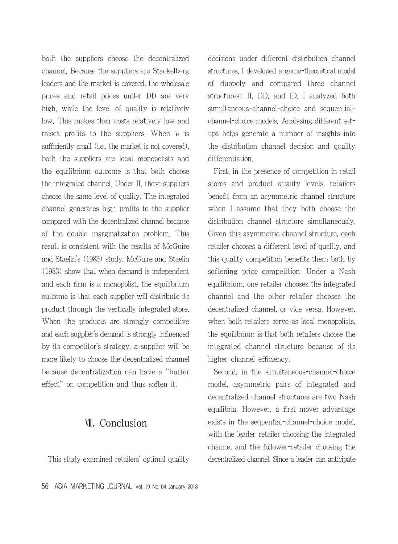both the suppliers choose the decentralized channel. Because the suppliers are Stackelberg leaders and the market is covered, the wholesale prices and retail prices under DD are very high, while the level of quality is relatively low. This makes their costs relatively low and raises profits to the suppliers. When  $\nu$  is sufficiently small (i.e., the market is not covered), both the suppliers are local monopolists and the equilibrium outcome is that both choose the integrated channel. Under II, these suppliers choose the same level of quality. The integrated channel generates high profits to the supplier compared with the decentralized channel because of the double marginalization problem. This result is consistent with the results of McGuire and Staelin's (1983) study. McGuire and Staelin (1983) show that when demand is independent and each firm is a monopolist, the equilibrium outcome is that each supplier will distribute its product through the vertically integrated store. When the products are strongly competitive and each supplier's demand is strongly influenced by its competitor's strategy, a supplier will be more likely to choose the decentralized channel because decentralization can have a "buffer effect" on competition and thus soften it.

### Ⅶ. Conclusion

This study examined retailers' optimal quality

decisions under different distribution channel structures. I developed a game-theoretical model of duopoly and compared three channel structures: II, DD, and ID. I analyzed both simultaneous-channel-choice and sequentialchannel-choice models. Analyzing different setups helps generate a number of insights into the distribution channel decision and quality differentiation.

First, in the presence of competition in retail stores and product quality levels, retailers benefit from an asymmetric channel structure when I assume that they both choose the distribution channel structure simultaneously. Given this asymmetric channel structure, each retailer chooses a different level of quality, and this quality competition benefits them both by softening price competition. Under a Nash equilibrium, one retailer chooses the integrated channel and the other retailer chooses the decentralized channel, or vice versa. However, when both retailers serve as local monopolists, the equilibrium is that both retailers choose the integrated channel structure because of its higher channel efficiency.

Second, in the simultaneous-channel-choice model, asymmetric pairs of integrated and decentralized channel structures are two Nash equilibria. However, a first-mover advantage exists in the sequential-channel-choice model, with the leader-retailer choosing the integrated channel and the follower-retailer choosing the decentralized channel. Since a leader can anticipate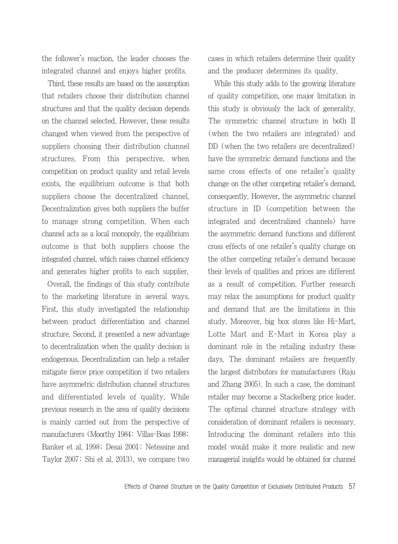the follower's reaction, the leader chooses the integrated channel and enjoys higher profits.

Third, these results are based on the assumption that retailers choose their distribution channel structures and that the quality decision depends on the channel selected. However, these results changed when viewed from the perspective of suppliers choosing their distribution channel structures. From this perspective, when competition on product quality and retail levels exists, the equilibrium outcome is that both suppliers choose the decentralized channel. Decentralization gives both suppliers the buffer to manage strong competition. When each channel acts as a local monopoly, the equilibrium outcome is that both suppliers choose the integrated channel, which raises channel efficiency and generates higher profits to each supplier.

Overall, the findings of this study contribute to the marketing literature in several ways. First, this study investigated the relationship between product differentiation and channel structure. Second, it presented a new advantage to decentralization when the quality decision is endogenous. Decentralization can help a retailer mitigate fierce price competition if two retailers have asymmetric distribution channel structures and differentiated levels of quality. While previous research in the area of quality decisions is mainly carried out from the perspective of manufacturers (Moorthy 1984; Villas-Boas 1998; Banker et al. 1998; Desai 2001; Netessine and Taylor 2007; Shi et al. 2013), we compare two

cases in which retailers determine their quality and the producer determines its quality.

While this study adds to the growing literature of quality competition, one major limitation in this study is obviously the lack of generality. The symmetric channel structure in both II (when the two retailers are integrated) and DD (when the two retailers are decentralized) have the symmetric demand functions and the same cross effects of one retailer's quality change on the other competing retailer's demand, consequently. However, the asymmetric channel structure in ID (competition between the integrated and decentralized channels) have the asymmetric demand functions and different cross effects of one retailer's quality change on the other competing retailer's demand because their levels of qualities and prices are different as a result of competition. Further research may relax the assumptions for product quality and demand that are the limitations in this study. Moreover, big box stores like Hi-Mart, Lotte Mart and E-Mart in Korea play a dominant role in the retailing industry these days. The dominant retailers are frequently the largest distributors for manufacturers (Raju and Zhang 2005). In such a case, the dominant retailer may become a Stackelberg price leader. The optimal channel structure strategy with consideration of dominant retailers is necessary. Introducing the dominant retailers into this model would make it more realistic and new managerial insights would be obtained for channel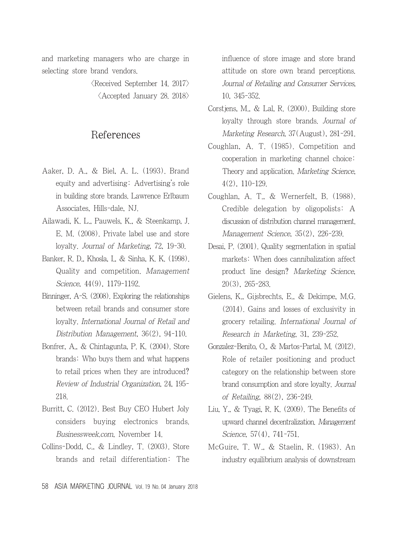and marketing managers who are charge in selecting store brand vendors.

> $\langle$ Received September 14. 2017 $\rangle$  $\langle$  Accepted January 28, 2018 $\rangle$

### References

- Aaker, D. A., & Biel, A. L. (1993). Brand equity and advertising: Advertising's role in building store brands. Lawrence Erlbaum Associates, Hills-dale, NJ.
- Ailawadi, K. L., Pauwels, K., & Steenkamp, J. E. M. (2008). Private label use and store loyalty. Journal of Marketing, 72, 19-30.
- Banker, R. D., Khosla, I., & Sinha, K. K. (1998). Quality and competition. Management Science, 44(9), 1179-1192.
- Binninger, A-S. (2008). Exploring the relationships between retail brands and consumer store loyalty. International Journal of Retail and Distribution Management, 36(2), 94-110.
- Bonfrer, A., & Chintagunta, P. K. (2004). Store brands: Who buys them and what happens to retail prices when they are introduced? Review of Industrial Organization, 24, 195- 218.
- Burritt, C. (2012). Best Buy CEO Hubert Joly considers buying electronics brands. Businessweek.com, November 14.
- Collins-Dodd, C., & Lindley, T. (2003). Store brands and retail differentiation: The

influence of store image and store brand attitude on store own brand perceptions. Journal of Retailing and Consumer Services, 10, 345-352.

- Corstjens, M., & Lal, R. (2000). Building store loyalty through store brands. Journal of Marketing Research, 37(August), 281-291.
- Coughlan, A. T. (1985). Competition and cooperation in marketing channel choice: Theory and application. Marketing Science, 4(2), 110-129.
- Coughlan, A. T., & Wernerfelt, B. (1988). Credible delegation by oligopolists: A discussion of distribution channel management. Management Science, 35(2), 226-239.
- Desai, P. (2001). Quality segmentation in spatial markets: When does cannibalization affect product line design? Marketing Science, 20(3), 265-283.
- Gielens, K., Gijsbrechts, E., & Dekimpe, M.G. (2014). Gains and losses of exclusivity in grocery retailing. International Journal of Research in Marketing, 31, 239-252.
- Gonzalez-Benito, O., & Martos-Partal, M. (2012). Role of retailer positioning and product category on the relationship between store brand consumption and store loyalty. Journal of Retailing, 88(2), 236-249.
- Liu, Y., & Tyagi, R. K. (2009). The Benefits of upward channel decentralization. Management Science, 57(4), 741-751.
- McGuire, T. W., & Staelin, R. (1983). An industry equilibrium analysis of downstream